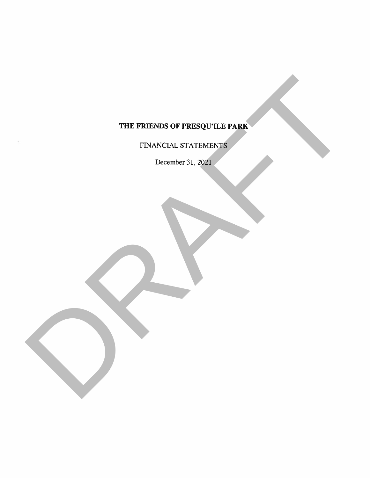# THE FRIENDS OF PRESQU'ILE PARK TRE FRENDS OF PRESIDENTS.

FINANCIAL STATEMENTS

December 31, 2021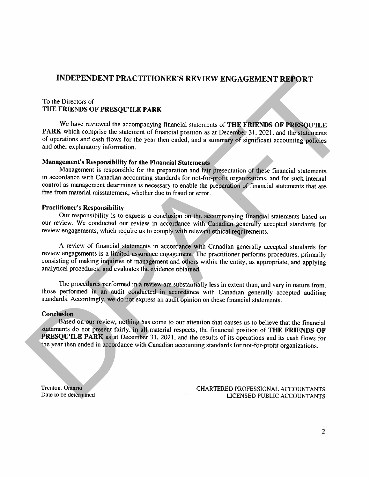# INDEPENDENT PRACTITIONER'S REVIEW ENGAGEMENT REPORT

#### To the Directors of THE FRIENDS OF PRESQU'ILE PARK

We have reviewed the accompanying financial statements of THE FRIENDS OF PRESQU'ILE PARK which comprise the statement of financial position as at December 31, 2021, and the statements of operations and cash flows for the year then ended, and <sup>a</sup> summary of significant accounting policies and other explanatory information. INDEPENDENT PRACTITIONER'S REVIEW ENGAGEMENT REPORT<br>
To the Directors of<br>
THE FRIENDS OF PRESQUITLE PARK<br>
THE FRIENDS OF PRESQUITLE PARK<br>
THE FRIENDS OF PRESQUITLE PARK<br>
We have nowive the accompanying funarial networms o

#### Management's Responsibility for the Financial Statements

Management is responsible for the preparation and fair presentation of these financial statements in accordance with Canadian accounting standards for not-for-profit organizations, and for such internal control as management determines is necessary to enable the preparation of financial statements that are free from material misstatement, whether due to fraud or error.

#### Practitioner's Responsibility

Our responsibility is to express <sup>a</sup> conclusion on the accompanying financial statements based on our review. We conducted our review in accordance with Canadian generally accepted standards for review engagements, which require us to comply with relevant ethical requirements.

<sup>A</sup> review of financial statements in accordance with Canadian generally accepted standards for review engagements is <sup>a</sup> limited assurance engagement. The practitioner performs procedures., primarily consisting of making inquiries of management and others within the entity, as appropriate, and applying analytical procedures, and evaluates the evidence obtained.

The procedures performed in <sup>a</sup> review are substantially less in extent than, and vary in nature from, those performed in an audit conducted in accordance with Canadian generally accepted auditing standards. Accordingly, we do not express an audit opinion on these financial statements.

#### **Conclusion**

Based on our review, nothing has come to our attention that causes us to believe that the financial statements do not present fairly, in all material respects, the financial position of THE FRIENDS OF PRESQU'ILE PARK as at December 31, 2021, and the results of its operations and its cash flows for the year then ended in accordance with Canadian accounting slandards for not-for-profit organizations.

Trenton. Oniario CHARTERED PROFESSIONAL ACCOUNTANTS Date to be determined LICENSED PUBLIC ACCOUNTANTS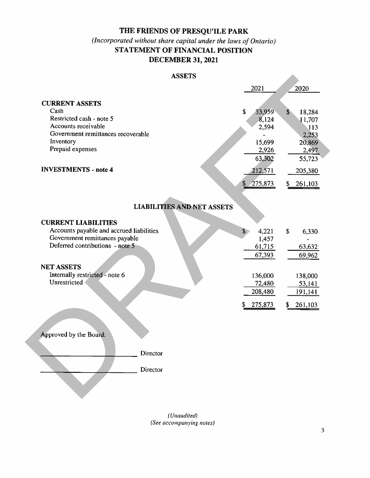# THE FRIENDS OF PRESQUILE PARK

# $(Incoporated without share capital under the laws of Ontario)$ STATEMENT OF FINANCIAL POSITION DECEMBER 31, 2021

#### **ASSETS**

| <b>ASSETS</b>                                                                                                                                                                                                      |                                                                                                 |                                                                                                |
|--------------------------------------------------------------------------------------------------------------------------------------------------------------------------------------------------------------------|-------------------------------------------------------------------------------------------------|------------------------------------------------------------------------------------------------|
|                                                                                                                                                                                                                    | 2021                                                                                            | 2020                                                                                           |
| <b>CURRENT ASSETS</b><br>Cash<br>Restricted cash - note 5<br>Accounts receivable<br>Government remittances recoverable<br>Inventory<br>Prepaid expenses<br><b>INVESTMENTS - note 4</b>                             | \$<br>33,959<br>8,124<br>2,594<br>15,699<br>2,926<br>63,302<br>212,571<br>\$                    | $\mathbf{s}$<br>18,284<br>11,707<br>113<br>2,253<br>20,869<br>2,497<br>55,723<br>205,380<br>\$ |
|                                                                                                                                                                                                                    | 275,873                                                                                         | 261,103                                                                                        |
| <b>LIABILITIES AND NET ASSETS</b>                                                                                                                                                                                  |                                                                                                 |                                                                                                |
| <b>CURRENT LIABILITIES</b><br>Accounts payable and accrued liabilities<br>Government remittances payable<br>Deferred contributions - note 5<br><b>NET ASSETS</b><br>Internally restricted - note 6<br>Unrestricted | 4,221<br>$\mathbf{S}$<br>1,457<br>61,715<br>67,393<br>136,000<br>72,480<br>208,480<br>\$275,873 | \$<br>6,330<br>63,632<br>69,962<br>138,000<br>53,141<br>191,141<br>261,103<br>\$               |
| Approved by the Board:<br>Director<br>Director                                                                                                                                                                     |                                                                                                 |                                                                                                |

(Unaudited) (See accompanying notes)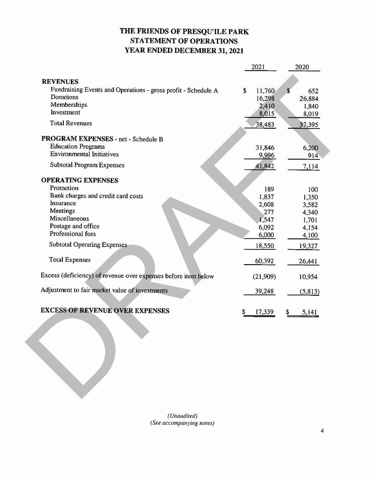# THE FRIENDS OF PRESQU'ILE PARK STATEMENT OF OPERATIONS YEAR ENDED DECEMBER 31, 2021

|                                                                | 2021         | 2020              |
|----------------------------------------------------------------|--------------|-------------------|
| <b>REVENUES</b>                                                |              |                   |
| Fundraising Events and Operations - gross profit - Schedule A  | \$<br>11,760 | $\sqrt{3}$<br>652 |
| Donations                                                      | 16,298       | 26,884            |
| Memberships                                                    |              | 2,410<br>1,840    |
| Investment                                                     |              | 8,015<br>8,019    |
| <b>Total Revenues</b>                                          | 38,483       | 37,395            |
| PROGRAM EXPENSES - net - Schedule B                            |              |                   |
| <b>Education Programs</b>                                      | 31,846       | 6,200             |
| <b>Environmental Initiatives</b>                               | <u>9,996</u> | 914               |
| <b>Subtotal Program Expenses</b>                               | 41,842       | 7,114             |
| <b>OPERATING EXPENSES</b>                                      |              |                   |
| Promotion                                                      |              | 189<br>100        |
| Bank charges and credit card costs                             | 1,837        | 1,350             |
| Insurance                                                      | 2,608        | 3,582             |
| <b>Meetings</b>                                                |              | 277<br>4,340      |
| Miscellaneous                                                  | 1,547        | 1,701             |
| Postage and office                                             | 6,092        | 4,154             |
| Professional fees                                              | 6,000        | 4,100             |
| <b>Subtotal Operating Expenses</b>                             | 18,550       | 19,327            |
| <b>Total Expenses</b>                                          | 60,392       | 26,441            |
| Excess (deficiency) of revenue over expenses before item below | (21,909)     | 10,954            |
| Adjustment to fair market value of investments                 | 39,248       | (5, 813)          |
| <b>EXCESS OF REVENUE OVER EXPENSES</b>                         | 17,339<br>S  | S<br>5,141        |
|                                                                |              |                   |

 $(Unaudited)$ (See accompanying notes)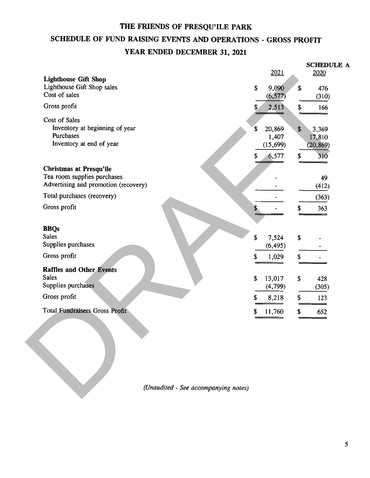# THE FRIENDS OF PRESQU'ILE PARK SCHEDULE OF FUND RAISING EVENTS AND OPERATIONS - GROSS PROFIT YEAR ENDED DECEMBER 31, 2021

|                                       |                                    |                           | <b>SCHEDULE A</b> |
|---------------------------------------|------------------------------------|---------------------------|-------------------|
| <b>Lighthouse Gift Shop</b>           | 2021                               |                           | 2020              |
| Lighthouse Gift Shop sales            | $\boldsymbol{\mathsf{S}}$<br>9,090 | \$                        | 476               |
| Cost of sales                         | (6, 577)                           |                           | (310)             |
| Gross profit                          | 2,513                              | \$                        | 166               |
| Cost of Sales                         |                                    |                           |                   |
| Inventory at beginning of year        | 20,869<br>\$                       | \$                        | 3,369             |
| Purchases                             | 1,407                              |                           | 17,810            |
| Inventory at end of year              | (15, 699)                          |                           | (20, 869)         |
|                                       | 6,577<br>$\mathbb{S}^-$            | \$                        | 310               |
| <b>Christmas at Presqu'ile</b>        |                                    |                           |                   |
| Tea room supplies purchases           |                                    |                           | 49                |
| Advertising and promotion (recovery)  |                                    |                           | (412)             |
| Total purchases (recovery)            |                                    |                           | (363)             |
| Gross profit                          |                                    | \$                        | 363               |
|                                       |                                    |                           |                   |
| <b>BBQs</b>                           |                                    |                           |                   |
| <b>Sales</b>                          | \$<br>7,524                        | $\boldsymbol{\mathsf{s}}$ |                   |
| Supplies purchases                    | (6, 495)                           |                           |                   |
| Gross profit                          | \$<br>1,029                        | \$                        |                   |
|                                       |                                    |                           |                   |
| <b>Raffles and Other Events</b>       |                                    |                           |                   |
| <b>Sales</b>                          | \$<br>13,017                       | \$                        | 428               |
| Supplies purchases                    | (4, 799)                           |                           | (305)             |
| Gross profit                          | \$<br>8,218                        | \$                        | 123               |
| <b>Total Fundraisers Gross Profit</b> | \$<br>11,760                       | \$                        | 652               |
|                                       |                                    |                           |                   |
|                                       |                                    |                           |                   |
|                                       |                                    |                           |                   |
|                                       |                                    |                           |                   |
|                                       |                                    |                           |                   |
|                                       |                                    |                           |                   |
|                                       |                                    |                           |                   |
|                                       |                                    |                           |                   |
| (Unaudited - See accompanying notes)  |                                    |                           |                   |
|                                       |                                    |                           |                   |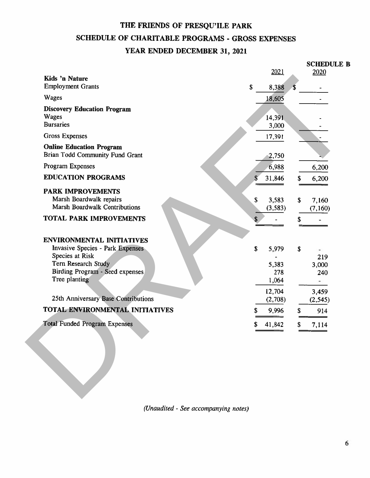# THE FRIENDS OF PRESQU'ILE PARK SCHEDULE OF CHARITABLE PROGRAMS - GROSS EXPENSES YEAR ENDED DECEMBER 31, 2021

|              |                                                                         | <b>SCHEDULE B</b> |                               |
|--------------|-------------------------------------------------------------------------|-------------------|-------------------------------|
|              |                                                                         |                   |                               |
|              | \$                                                                      |                   |                               |
| 18,605       |                                                                         |                   |                               |
|              |                                                                         |                   |                               |
|              |                                                                         |                   |                               |
|              |                                                                         |                   |                               |
|              |                                                                         |                   |                               |
|              |                                                                         |                   |                               |
| 6,988        |                                                                         |                   |                               |
| \$<br>31,846 | S                                                                       | 6,200             |                               |
|              |                                                                         |                   |                               |
| \$<br>3,583  | $\mathbf S$                                                             | 7,160             |                               |
| (3,583)      |                                                                         | (7,160)           |                               |
|              | \$                                                                      |                   |                               |
|              |                                                                         |                   |                               |
|              |                                                                         |                   |                               |
|              |                                                                         |                   |                               |
| 5,383        |                                                                         |                   |                               |
| 278          |                                                                         | 240               |                               |
| 1,064        |                                                                         | ۰                 |                               |
| 12,704       |                                                                         | 3,459             |                               |
|              |                                                                         | (2, 545)          |                               |
| \$<br>9,996  | \$                                                                      | 914               |                               |
| \$<br>41,842 | \$                                                                      | 7,114             |                               |
|              |                                                                         |                   |                               |
| \$<br>\$     | 2021<br>8,388<br>14,391<br>3,000<br>17,391<br>2,750<br>5,979<br>(2,708) | \$                | 2020<br>6,200<br>219<br>3,000 |

(Unaudited - See accompanying notes)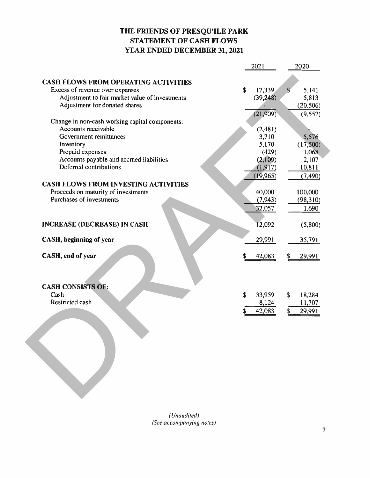# THE FRIENDS OF PRESQU'ILE PARK STATEMENT OF CASH FLOWS YEAR ENDED DECEMBER 31, 2021

|                                                | 2021         | 2020                |
|------------------------------------------------|--------------|---------------------|
| <b>CASH FLOWS FROM OPERATING ACTIVITIES</b>    |              |                     |
| Excess of revenue over expenses                | \$<br>17,339 | $\sqrt{5}$<br>5,141 |
| Adjustment to fair market value of investments | (39, 248)    | 5,813               |
| Adjustment for donated shares                  |              | (20, 506)           |
|                                                | (21,909)     | (9, 552)            |
| Change in non-cash working capital components: |              |                     |
| Accounts receivable                            | (2,481)      |                     |
| Government remittances                         | 3,710        | 5,576               |
| Inventory                                      | 5,170        | (17,500)            |
| Prepaid expenses                               | (429)        | 1,068               |
| Accounts payable and accrued liabilities       | (2,109)      | 2,107               |
| Deferred contributions                         | (1, 917)     | 10,811              |
|                                                | (19, 965)    | (7, 490)            |
| <b>CASH FLOWS FROM INVESTING ACTIVITIES</b>    |              |                     |
| Proceeds on maturity of investments            | 40,000       | 100,000             |
| Purchases of investments                       | (7, 943)     | (98, 310)           |
|                                                |              |                     |
|                                                | 32,057       | 1,690               |
| <b>INCREASE (DECREASE) IN CASH</b>             | 12,092       | (5,800)             |
| CASH, beginning of year                        | 29,991       | 35,791              |
| CASH, end of year                              | 42,083       | \$<br>29,991        |
|                                                |              |                     |
|                                                |              |                     |
| <b>CASH CONSISTS OF:</b>                       |              |                     |
| Cash<br>Restricted cash                        | \$<br>33,959 | \$<br>18,284        |
|                                                | 8,124        | 11,707              |
|                                                | 42,083       | 29,991<br>S         |
|                                                |              |                     |
|                                                |              |                     |
|                                                |              |                     |
|                                                |              |                     |
|                                                |              |                     |
|                                                |              |                     |
|                                                |              |                     |
|                                                |              |                     |
|                                                |              |                     |
|                                                |              |                     |
|                                                |              |                     |

(Unaudited) (See accompanying notes)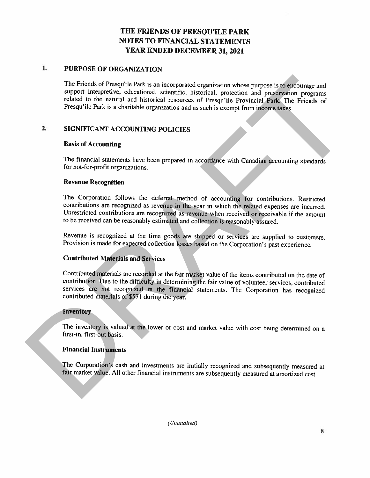#### 1. PURPOSE OF ORGANIZATION

The Friends of Presqu'ile Park is an incorporated organization whose purpose is to encourage and support interpretive, educational, scientific, historical, protection and preservation programs related to the natural and historical resources of Presqu'ile Provincial Park. The Friends of Presqu'ile Park is <sup>a</sup> charitable organization and as such is exempt from income taxes.

# 2. SIGNIFICANT ACCOUNTING POLICIES

#### Basis of Accounting

The financial statements have been prepared in accordance with Canadian accounting standards for not-for-profit organizations.

### Revenue Recognition

The Corporation follows the deferral method of accounting for contributions. Restricted contributions are recognized as revenue in the year in which the related expenses are incurred. Unrestricted contributions are recognized as revenue when received or receivable if the amount to be received can be reasonably estimated and collection is reasonably assured.

Revenue is recognized at the time goods are shipped or services are supplied to customers. Provision is made for expected collection losses based on the Corporation's past experience.

# Contributed Materials and Services

Contributed materials are recorded at the fair market value of the items contributed on the date of contribution. Due to the difficulty in determining the fair value of volunteer services, contributed services are not recognized in the financial statements. The Corporation has recognized contributed materials of \$571 during the year. The Friends of Presquile Park is an incorporated organization whose purpose is to successing end<br>support interpretive, colonically, scientific, bitsionic colonical preservation programs<br>related to the natural and historica

#### Inventory

The inventory is valued at the lower of cost and market value with cost being determined on <sup>a</sup> first-in, first-out basis.

#### Financial Instruments

The Corporation's cash and investments are initially recognized and subsequently measured at fair market value. All other financial instruments are subsequently measured at amortized cost.

(Unaudited)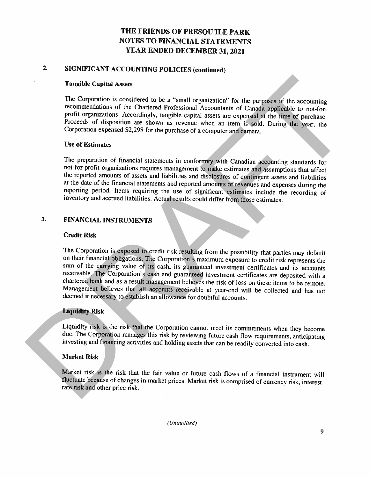# 2. SIGNIFICANT ACCOUNTING POLICIES (continued)

#### Tangible Capital Assets

The Corporation is considered to be a "small organization" for the purposes of the accounting recommendations of the Chartered Professional Accountants of Canada applicable to not-for-profit organizations. Accordingly, tan Proceeds of disposition are shown as revenue when an item is sold. During the year, the Corporation expensed \$2,298 for the purchase of a computer and camera.

#### Use of Estimates

The preparation of financial statements in conformity with Canadian accounting standards for not-for-profit organizations requires management to make estimates and assumptions that affect the reported amounts of assets and reporting period. Items requiring the use of significant estimates include the recording of inventory and accrued liabilities. Actual results could differ from those estimates.

# 3. FINANCIAL INSTRUMENTS

#### Credit Risk

The Corporation is exposed to credit risk resulting from the possibility that parties may default on their financial obligations. The Corporation's maximum exposure to credit risk represents the sum of the carrying value of its cash, its guaranteed investment certificates and its accounts receivable. The Corporation's cash and guaranteed investment certificates are deposited with a chartered bank and as a result management believes the risk of loss on these items to be remote. Management believes that all accounts receivable at year-end will be collected and has not deemed it necessary to establish an allowance for doubtful accounts. Tanglible Cupital Assets<br>
The Corporation is considered to be a "small organization" for the purgioses of the accounting<br>
recommendations of the Chartersch Processional Accounting to the accounting<br>
profit organizations.

#### Liquidity Risk

Liquidity risk is the risk that the Corporation cannot meet its commitments when they become due. The Corporation manages this risk by reviewing future cash flow requirements, anticipating investing and financing activitie

#### Market Risk

Market risk is the risk that the fair value or future cash flows of <sup>a</sup> financial instrument will fluctuate because of changes in market prices. Market risk is comprised of currency risk, interest rate risk and other price risk.

(Unaudited)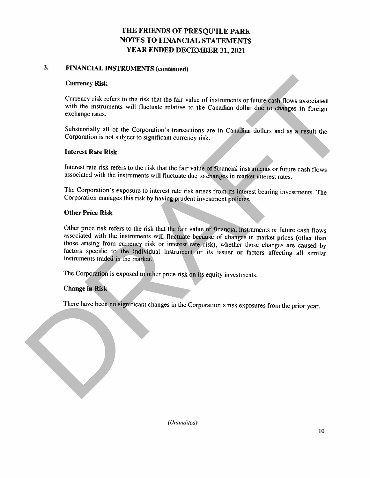# 3. FINANCIAL INSTRUMENTS (continued)

#### Currency Risk

Currency risk refers to the risk that the fair value of instruments or future cash flows associated with the instruments will fluctuate relative to the Canadian dollar due to changes in foreign exchange rates.

Substantially all of the Corporation's transactions are in Canadian dollars and as <sup>a</sup> result the Corporation is not subject to significant currency risk.

#### Interest Rate Risk

Interest rate risk refers to the risk that the fair value of financial instruments or future cash flows associated with the instruments will fluctuate due to changes in market interest rates.

The Corporation's exposure to interest rate risk arises from its interest bearing investments. The Corporation manages this risk by having prudent investment policies.

#### Other Price Risk

Other price risk refers to the risk that the fair value of financial instruments or future cash flows associated with the instruments will fluctuate because of changes in market prices (other than those arising from currency risk or interest rate risk), whether those changes are caused by factors specific to the individual instrument or its issuer or factors affecting all similar instruments traded in the market. Currency Risk<br>Currency risk refers to the risk that the fair value of instruments or future cash flows associated<br>with the instruments will fluctuate relative to the Considian dollar disk to chinges in foreign<br>exchange rat

The Corporation is exposed to other price risk on its equity investments.

#### Change in Risk

There have been no significant changes in the Corporation's risk exposures from the prior year.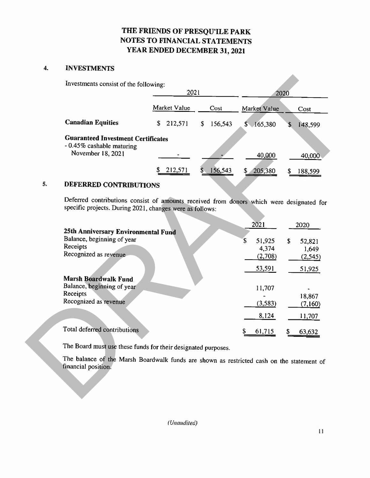#### 4. INVESTMENTS

|                                                                        | 2021          |               | 2020                   |               |  |
|------------------------------------------------------------------------|---------------|---------------|------------------------|---------------|--|
|                                                                        | Market Value  | Cost          | Market Value           | Cost          |  |
| <b>Canadian Equities</b>                                               | \$<br>212,571 | 156,543<br>\$ | 165,380<br>$S_{\cdot}$ | 148,599<br>\$ |  |
| <b>Guaranteed Investment Certificates</b><br>- 0.45% cashable maturing |               |               |                        |               |  |
| November 18, 2021                                                      |               |               | 40,000                 | 40,000        |  |
|                                                                        | 212,571       | 156,543       | 205,380                | 188,599       |  |

## 5. DEFERRED CONTRIBUTIONS

|                                                | 2021                                                                                      |                        |              | 2020                    |  |  |
|------------------------------------------------|-------------------------------------------------------------------------------------------|------------------------|--------------|-------------------------|--|--|
|                                                | Market Value                                                                              | Cost                   | Market Value | Cost                    |  |  |
| <b>Canadian Equities</b>                       | 212,571<br>\$                                                                             | 156,543<br>$\mathbf S$ | \$165,380    | 148,599<br>S.           |  |  |
| <b>Guaranteed Investment Certificates</b>      |                                                                                           |                        |              |                         |  |  |
| - 0.45% cashable maturing<br>November 18, 2021 |                                                                                           |                        |              |                         |  |  |
|                                                |                                                                                           |                        | 40,000       | 40,000                  |  |  |
|                                                | S<br>212,571                                                                              | 156,543<br>\$          | 205,380      | 188,599                 |  |  |
| DEFERRED CONTRIBUTIONS                         |                                                                                           |                        |              |                         |  |  |
|                                                | Deferred contributions consist of amounts received from donors which were designated for  |                        |              |                         |  |  |
|                                                | specific projects. During 2021, changes were as follows:                                  |                        |              |                         |  |  |
|                                                |                                                                                           |                        | 2021         | 2020                    |  |  |
| 25th Anniversary Environmental Fund            |                                                                                           |                        |              |                         |  |  |
| Balance, beginning of year<br>Receipts         |                                                                                           |                        | S<br>51,925  | $\mathbf{\$}$<br>52,821 |  |  |
| Recognized as revenue                          |                                                                                           |                        | 4,374        | 1,649                   |  |  |
|                                                |                                                                                           |                        |              |                         |  |  |
|                                                |                                                                                           |                        | (2,708)      | (2,545)                 |  |  |
|                                                |                                                                                           |                        | 53,591       | 51,925                  |  |  |
| <b>Marsh Boardwalk Fund</b>                    |                                                                                           |                        |              |                         |  |  |
| Balance, beginning of year<br>Receipts         |                                                                                           |                        | 11,707       |                         |  |  |
| Recognized as revenue                          |                                                                                           |                        | (3,583)      | 18,867<br>(7,160)       |  |  |
|                                                |                                                                                           |                        |              |                         |  |  |
|                                                |                                                                                           |                        | 8,124        | 11,707                  |  |  |
| Total deferred contributions                   |                                                                                           |                        | 61,715       | S<br>63,632             |  |  |
|                                                | The Board must use these funds for their designated purposes.                             |                        |              |                         |  |  |
| financial position.                            | The balance of the Marsh Boardwalk funds are shown as restricted cash on the statement of |                        |              |                         |  |  |